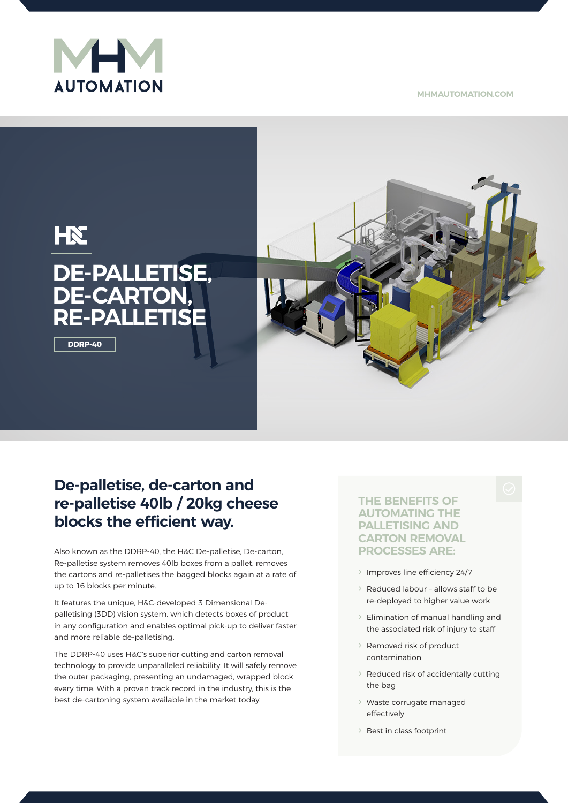

**MHMAUTOMATION.COM**



# **De-palletise, de-carton and re-palletise 40lb / 20kg cheese blocks the efficient way.**

Also known as the DDRP-40, the H&C De-palletise, De-carton, Re-palletise system removes 40lb boxes from a pallet, removes the cartons and re-palletises the bagged blocks again at a rate of up to 16 blocks per minute.

It features the unique, H&C-developed 3 Dimensional Depalletising (3DD) vision system, which detects boxes of product in any configuration and enables optimal pick-up to deliver faster and more reliable de-palletising.

The DDRP-40 uses H&C's superior cutting and carton removal technology to provide unparalleled reliability. It will safely remove the outer packaging, presenting an undamaged, wrapped block every time. With a proven track record in the industry, this is the best de-cartoning system available in the market today.

## **THE BENEFITS OF AUTOMATING THE PALLETISING AND CARTON REMOVAL PROCESSES ARE:**

- Λ Improves line efficiency 24/7
- Λ Reduced labour allows staff to be re-deployed to higher value work
- Λ Elimination of manual handling and the associated risk of injury to staff
- Λ Removed risk of product contamination
- Λ Reduced risk of accidentally cutting the bag
- Λ Waste corrugate managed effectively
- λ Best in class footprint